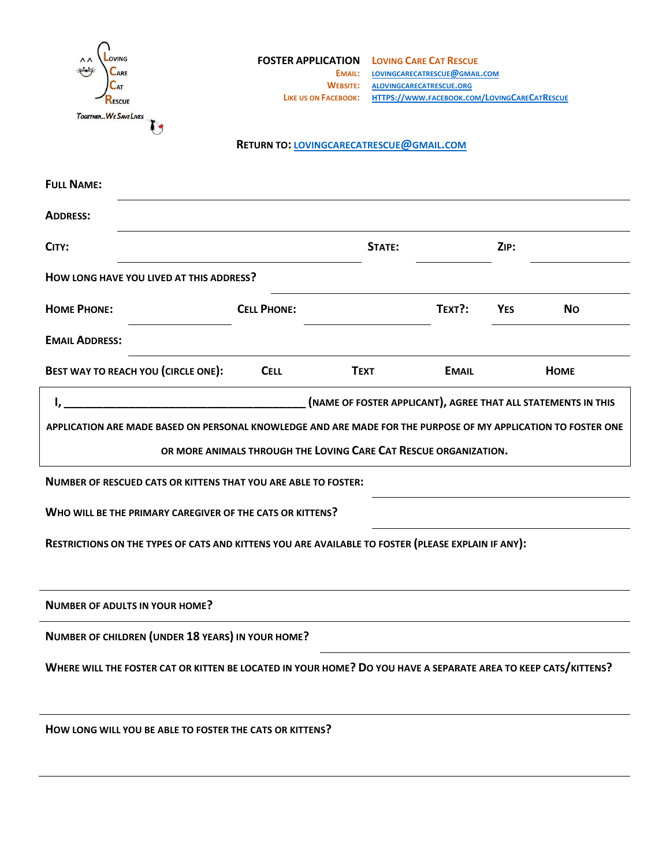| <b>OVING</b><br><b>ARE</b><br>LAT<br>ESCUE                                                                     | <b>FOSTER APPLICATION</b><br>EMAIL:<br><b>WEBSITE:</b><br><b>LIKE US ON FACEBOOK:</b> |             | <b>LOVING CARE CAT RESCUE</b><br>LOVINGCARECATRESCUE@GMAIL.COM<br>ALOVINGCARECATRESCUE.ORG<br>HTTPS://WWW.FACEBOOK.COM/LOVINGCARECATRESCUE |            |                                                               |
|----------------------------------------------------------------------------------------------------------------|---------------------------------------------------------------------------------------|-------------|--------------------------------------------------------------------------------------------------------------------------------------------|------------|---------------------------------------------------------------|
| TOGETHER WE SAVE LIVES                                                                                         |                                                                                       |             |                                                                                                                                            |            |                                                               |
|                                                                                                                | <b>RETURN TO: LOVINGCARECATRESCUE@GMAIL.COM</b>                                       |             |                                                                                                                                            |            |                                                               |
| <b>FULL NAME:</b>                                                                                              |                                                                                       |             |                                                                                                                                            |            |                                                               |
| <b>ADDRESS:</b>                                                                                                |                                                                                       |             |                                                                                                                                            |            |                                                               |
| CITY:                                                                                                          |                                                                                       | STATE:      |                                                                                                                                            | ZIP:       |                                                               |
| HOW LONG HAVE YOU LIVED AT THIS ADDRESS?                                                                       |                                                                                       |             |                                                                                                                                            |            |                                                               |
| <b>HOME PHONE:</b>                                                                                             | <b>CELL PHONE:</b>                                                                    |             | TEXT?:                                                                                                                                     | <b>YES</b> | <b>No</b>                                                     |
| <b>EMAIL ADDRESS:</b>                                                                                          |                                                                                       |             |                                                                                                                                            |            |                                                               |
| BEST WAY TO REACH YOU (CIRCLE ONE):                                                                            | <b>CELL</b>                                                                           | <b>TEXT</b> | <b>EMAIL</b>                                                                                                                               |            | <b>HOME</b>                                                   |
| I,                                                                                                             |                                                                                       |             |                                                                                                                                            |            | (NAME OF FOSTER APPLICANT), AGREE THAT ALL STATEMENTS IN THIS |
| APPLICATION ARE MADE BASED ON PERSONAL KNOWLEDGE AND ARE MADE FOR THE PURPOSE OF MY APPLICATION TO FOSTER ONE  |                                                                                       |             |                                                                                                                                            |            |                                                               |
|                                                                                                                | OR MORE ANIMALS THROUGH THE LOVING CARE CAT RESCUE ORGANIZATION.                      |             |                                                                                                                                            |            |                                                               |
| <b>NUMBER OF RESCUED CATS OR KITTENS THAT YOU ARE ABLE TO FOSTER:</b>                                          |                                                                                       |             |                                                                                                                                            |            |                                                               |
| WHO WILL BE THE PRIMARY CAREGIVER OF THE CATS OR KITTENS?                                                      |                                                                                       |             |                                                                                                                                            |            |                                                               |
| RESTRICTIONS ON THE TYPES OF CATS AND KITTENS YOU ARE AVAILABLE TO FOSTER (PLEASE EXPLAIN IF ANY):             |                                                                                       |             |                                                                                                                                            |            |                                                               |
| <b>NUMBER OF ADULTS IN YOUR HOME?</b>                                                                          |                                                                                       |             |                                                                                                                                            |            |                                                               |
| NUMBER OF CHILDREN (UNDER 18 YEARS) IN YOUR HOME?                                                              |                                                                                       |             |                                                                                                                                            |            |                                                               |
| WHERE WILL THE FOSTER CAT OR KITTEN BE LOCATED IN YOUR HOME? DO YOU HAVE A SEPARATE AREA TO KEEP CATS/KITTENS? |                                                                                       |             |                                                                                                                                            |            |                                                               |
| HOW LONG WILL YOU BE ABLE TO FOSTER THE CATS OR KITTENS?                                                       |                                                                                       |             |                                                                                                                                            |            |                                                               |